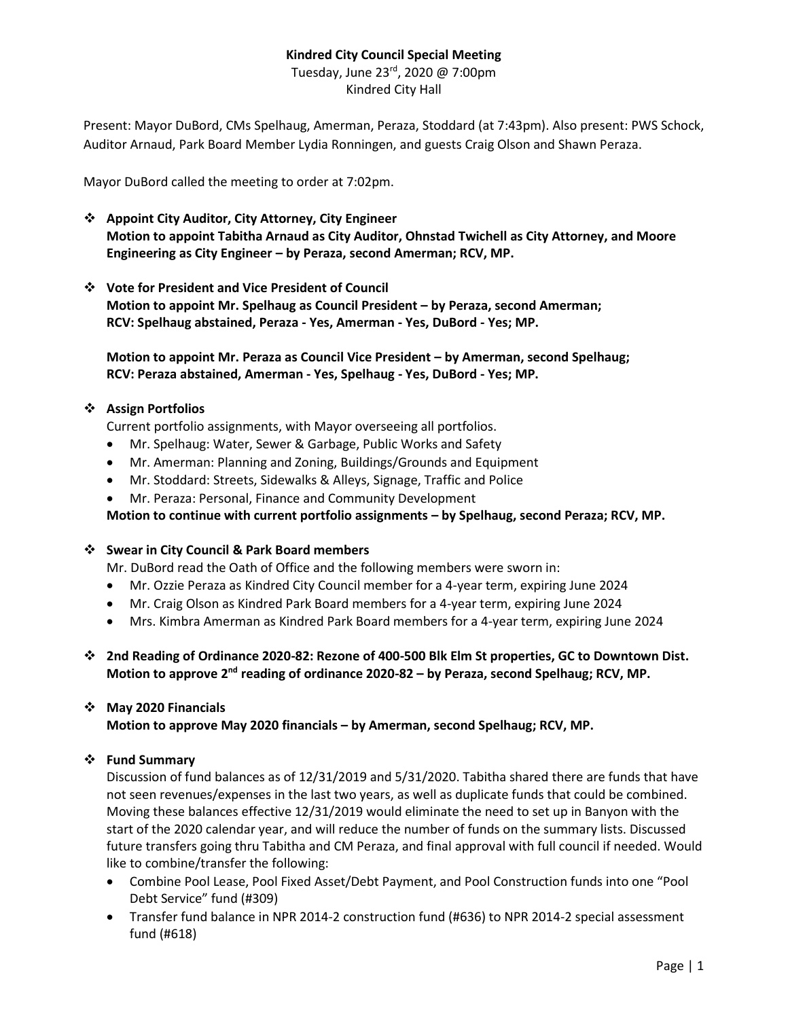### **Kindred City Council Special Meeting**

Tuesday, June 23<sup>rd</sup>, 2020 @ 7:00pm Kindred City Hall

Present: Mayor DuBord, CMs Spelhaug, Amerman, Peraza, Stoddard (at 7:43pm). Also present: PWS Schock, Auditor Arnaud, Park Board Member Lydia Ronningen, and guests Craig Olson and Shawn Peraza.

Mayor DuBord called the meeting to order at 7:02pm.

- ❖ **Appoint City Auditor, City Attorney, City Engineer Motion to appoint Tabitha Arnaud as City Auditor, Ohnstad Twichell as City Attorney, and Moore Engineering as City Engineer – by Peraza, second Amerman; RCV, MP.**
- ❖ **Vote for President and Vice President of Council Motion to appoint Mr. Spelhaug as Council President – by Peraza, second Amerman; RCV: Spelhaug abstained, Peraza - Yes, Amerman - Yes, DuBord - Yes; MP.**

**Motion to appoint Mr. Peraza as Council Vice President – by Amerman, second Spelhaug; RCV: Peraza abstained, Amerman - Yes, Spelhaug - Yes, DuBord - Yes; MP.**

### ❖ **Assign Portfolios**

Current portfolio assignments, with Mayor overseeing all portfolios.

- Mr. Spelhaug: Water, Sewer & Garbage, Public Works and Safety
- Mr. Amerman: Planning and Zoning, Buildings/Grounds and Equipment
- Mr. Stoddard: Streets, Sidewalks & Alleys, Signage, Traffic and Police
- Mr. Peraza: Personal, Finance and Community Development

**Motion to continue with current portfolio assignments – by Spelhaug, second Peraza; RCV, MP.**

#### ❖ **Swear in City Council & Park Board members**

Mr. DuBord read the Oath of Office and the following members were sworn in:

- Mr. Ozzie Peraza as Kindred City Council member for a 4-year term, expiring June 2024
- Mr. Craig Olson as Kindred Park Board members for a 4-year term, expiring June 2024
- Mrs. Kimbra Amerman as Kindred Park Board members for a 4-year term, expiring June 2024
- ❖ **2nd Reading of Ordinance 2020-82: Rezone of 400-500 Blk Elm St properties, GC to Downtown Dist.** Motion to approve 2<sup>nd</sup> reading of ordinance 2020-82 - by Peraza, second Spelhaug; RCV, MP.

#### ❖ **May 2020 Financials**

**Motion to approve May 2020 financials – by Amerman, second Spelhaug; RCV, MP.**

### ❖ **Fund Summary**

Discussion of fund balances as of 12/31/2019 and 5/31/2020. Tabitha shared there are funds that have not seen revenues/expenses in the last two years, as well as duplicate funds that could be combined. Moving these balances effective 12/31/2019 would eliminate the need to set up in Banyon with the start of the 2020 calendar year, and will reduce the number of funds on the summary lists. Discussed future transfers going thru Tabitha and CM Peraza, and final approval with full council if needed. Would like to combine/transfer the following:

- Combine Pool Lease, Pool Fixed Asset/Debt Payment, and Pool Construction funds into one "Pool Debt Service" fund (#309)
- Transfer fund balance in NPR 2014-2 construction fund (#636) to NPR 2014-2 special assessment fund (#618)